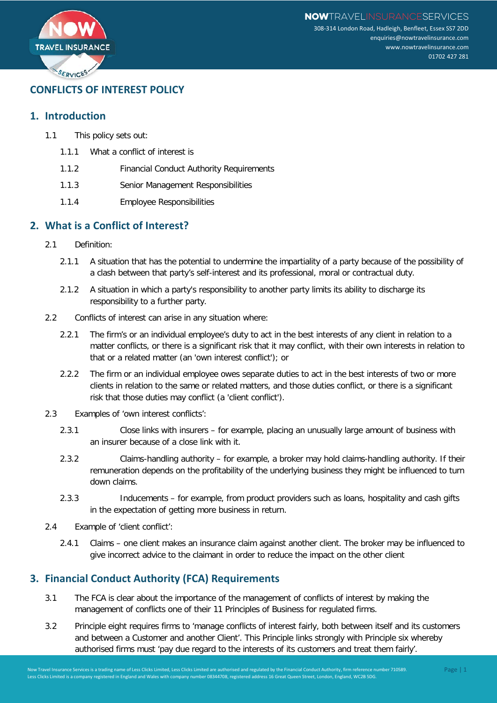

# **CONFLICTS OF INTEREST POLICY**

### **1. Introduction**

- 1.1 This policy sets out:
	- 1.1.1 What a conflict of interest is
	- 1.1.2 Financial Conduct Authority Requirements
	- 1.1.3 Senior Management Responsibilities
	- 1.1.4 Employee Responsibilities

### **2. What is a Conflict of Interest?**

- 2.1 Definition:
	- 2.1.1 A situation that has the potential to undermine the impartiality of a party because of the possibility of a clash between that party's self-interest and its professional, moral or contractual duty.
	- 2.1.2 A situation in which a party's responsibility to another party limits its ability to discharge its responsibility to a further party.
- 2.2 Conflicts of interest can arise in any situation where:
	- 2.2.1 The firm's or an individual employee's duty to act in the best interests of any client in relation to a matter conflicts, or there is a significant risk that it may conflict, with their own interests in relation to that or a related matter (an 'own interest conflict'); or
	- 2.2.2 The firm or an individual employee owes separate duties to act in the best interests of two or more clients in relation to the same or related matters, and those duties conflict, or there is a significant risk that those duties may conflict (a 'client conflict').
- 2.3 Examples of 'own interest conflicts':
	- 2.3.1 Close links with insurers for example, placing an unusually large amount of business with an insurer because of a close link with it.
	- 2.3.2 Claims-handling authority for example, a broker may hold claims-handling authority. If their remuneration depends on the profitability of the underlying business they might be influenced to turn down claims.
	- 2.3.3 Inducements for example, from product providers such as loans, hospitality and cash gifts in the expectation of getting more business in return.
- 2.4 Example of 'client conflict':
	- 2.4.1 Claims one client makes an insurance claim against another client. The broker may be influenced to give incorrect advice to the claimant in order to reduce the impact on the other client

## **3. Financial Conduct Authority (FCA) Requirements**

- 3.1 The FCA is clear about the importance of the management of conflicts of interest by making the management of conflicts one of their 11 Principles of Business for regulated firms.
- 3.2 Principle eight requires firms to 'manage conflicts of interest fairly, both between itself and its customers and between a Customer and another Client'. This Principle links strongly with Principle six whereby authorised firms must 'pay due regard to the interests of its customers and treat them fairly'.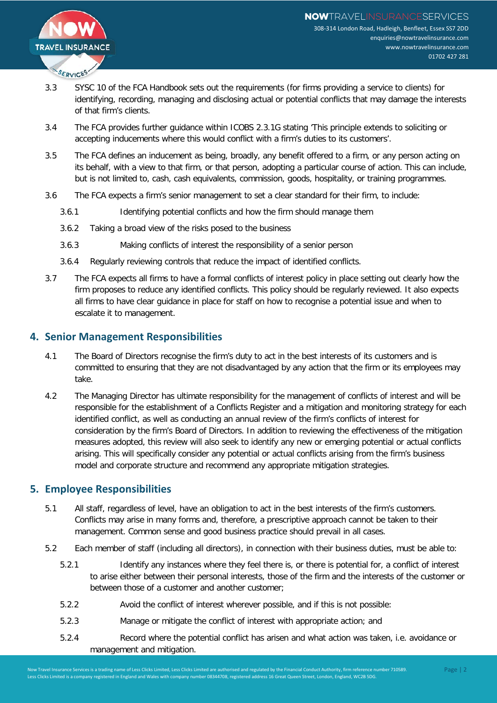

- 3.3 SYSC 10 of the FCA Handbook sets out the requirements (for firms providing a service to clients) for identifying, recording, managing and disclosing actual or potential conflicts that may damage the interests of that firm's clients.
- 3.4 The FCA provides further guidance within ICOBS 2.3.1G stating 'This principle extends to soliciting or accepting inducements where this would conflict with a firm's duties to its customers'.
- 3.5 The FCA defines an inducement as being, broadly, any benefit offered to a firm, or any person acting on its behalf, with a view to that firm, or that person, adopting a particular course of action. This can include, but is not limited to, cash, cash equivalents, commission, goods, hospitality, or training programmes.
- 3.6 The FCA expects a firm's senior management to set a clear standard for their firm, to include:
	- 3.6.1 Identifying potential conflicts and how the firm should manage them
	- 3.6.2 Taking a broad view of the risks posed to the business
	- 3.6.3 Making conflicts of interest the responsibility of a senior person
	- 3.6.4 Regularly reviewing controls that reduce the impact of identified conflicts.
- 3.7 The FCA expects all firms to have a formal conflicts of interest policy in place setting out clearly how the firm proposes to reduce any identified conflicts. This policy should be regularly reviewed. It also expects all firms to have clear guidance in place for staff on how to recognise a potential issue and when to escalate it to management.

#### **4. Senior Management Responsibilities**

- 4.1 The Board of Directors recognise the firm's duty to act in the best interests of its customers and is committed to ensuring that they are not disadvantaged by any action that the firm or its employees may take.
- 4.2 The Managing Director has ultimate responsibility for the management of conflicts of interest and will be responsible for the establishment of a Conflicts Register and a mitigation and monitoring strategy for each identified conflict, as well as conducting an annual review of the firm's conflicts of interest for consideration by the firm's Board of Directors. In addition to reviewing the effectiveness of the mitigation measures adopted, this review will also seek to identify any new or emerging potential or actual conflicts arising. This will specifically consider any potential or actual conflicts arising from the firm's business model and corporate structure and recommend any appropriate mitigation strategies.

#### **5. Employee Responsibilities**

- 5.1 All staff, regardless of level, have an obligation to act in the best interests of the firm's customers. Conflicts may arise in many forms and, therefore, a prescriptive approach cannot be taken to their management. Common sense and good business practice should prevail in all cases.
- 5.2 Each member of staff (including all directors), in connection with their business duties, must be able to:
	- 5.2.1 Identify any instances where they feel there is, or there is potential for, a conflict of interest to arise either between their personal interests, those of the firm and the interests of the customer or between those of a customer and another customer;
	- 5.2.2 Avoid the conflict of interest wherever possible, and if this is not possible:
	- 5.2.3 Manage or mitigate the conflict of interest with appropriate action; and
	- 5.2.4 Record where the potential conflict has arisen and what action was taken, i.e. avoidance or management and mitigation.